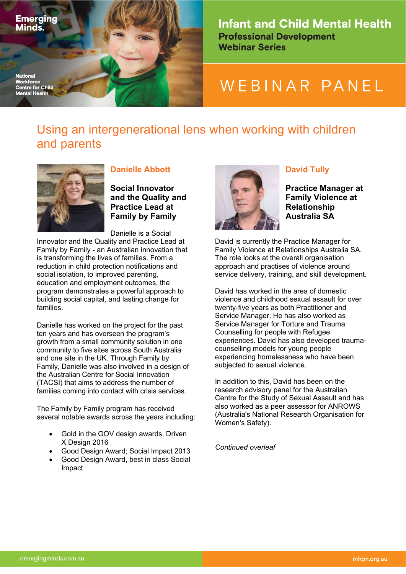

**Infant and Child Mental Health Professional Development Webinar Series** 

# WEBINAR PANEL

## Using an intergenerational lens when working with children and parents



## **Danielle Abbott**

**Social Innovator and the Quality and Practice Lead at Family by Family**

Danielle is a Social Innovator and the Quality and Practice Lead at Family by Family - an Australian innovation that is transforming the lives of families. From a reduction in child protection notifications and social isolation, to improved parenting, education and employment outcomes, the program demonstrates a powerful approach to building social capital, and lasting change for families.

Danielle has worked on the project for the past ten years and has overseen the program's growth from a small community solution in one community to five sites across South Australia and one site in the UK. Through Family by Family, Danielle was also involved in a design of the Australian Centre for Social Innovation (TACSI) that aims to address the number of families coming into contact with crisis services.

The Family by Family program has received several notable awards across the years including:

- Gold in the GOV design awards, Driven X Design 2016
- Good Design Award; Social Impact 2013
- Good Design Award, best in class Social Impact



## **David Tully**

**Practice Manager at Family Violence at Relationship Australia SA**

David is currently the Practice Manager for Family Violence at Relationships Australia SA. The role looks at the overall organisation approach and practises of violence around service delivery, training, and skill development.

David has worked in the area of domestic violence and childhood sexual assault for over twenty-five years as both Practitioner and Service Manager. He has also worked as Service Manager for Torture and Trauma Counselling for people with Refugee experiences. David has also developed traumacounselling models for young people experiencing homelessness who have been subjected to sexual violence.

In addition to this, David has been on the research advisory panel for the Australian Centre for the Study of Sexual Assault and has also worked as a peer assessor for ANROWS (Australia's National Research Organisation for Women's Safety).

*Continued overleaf*